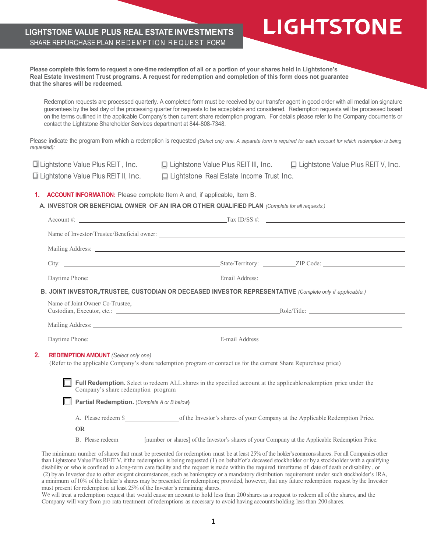### **LIGHTSTONE VALUE PLUS REAL ESTATE INVESTMENTS** SHARE REPURCHASE PLAN REDEMPTION REQUEST FORM

**Please complete this form to request a one-time redemption of all or a portion of your shares held in Lightstone's Real Estate Investment Trust programs. A request for redemption and completion of this form does not guarantee that the shares will be redeemed.** Redemption requests are processed quarterly. A completed form must be received by our transfer agent in good order with all medallion signature guarantees by the last day of the processing quarter for requests to be acceptable and considered. Redemption requests will be processed based on the terms outlined in the applicable Company's then current share redemption program. For details please refer to the Company documents or contact the Lightstone Shareholder Services department at 844-808-7348. Please indicate the program from which a redemption is requested *(Select only one. A separate form is required for each account for which redemption is being requested):*  ❏ Lightstone Value Plus REIT , Inc. ❏ Lightstone Value Plus REIT III, Inc. ❏ Lightstone Value Plus REIT V, Inc. ❏ Lightstone Value Plus REIT II, Inc. ❏ Lightstone Real Estate Income Trust Inc. **1. ACCOUNT INFORMATION:** Please complete Item A and, if applicable, Item B. **A. INVESTOR OR BENEFICIAL OWNER OF AN IRA OR OTHER QUALIFIED PLAN** *(Complete for all requests.)* Account #: Tax ID/SS #: Name of Investor/Trustee/Beneficial owner: Mailing Address: City: State/Territory: ZIP Code: Daytime Phone: Email Address: **B. JOINT INVESTOR,/TRUSTEE, CUSTODIAN OR DECEASED INVESTOR REPRESENTATIVE** *(Complete only if applicable.)* Name of Joint Owner/ Co-Trustee, Custodian, Executor, etc.: Role/Title: Mailing Address: Universe of the Mailing Address: Daytime Phone: <u>E-mail Address</u> **2. REDEMPTION AMOUNT** *(Select only one)* (Refer to the applicable Company's share redemption program or contact us for the current Share Repurchase price) **Full Redemption.** Select to redeem ALL shares in the specified account at the applicable redemption price under the Company's share redemption program **Partial Redemption.** (*Complete A or B below***)** A. Please redeem \$ of the Investor's shares of your Company at the ApplicableRedemption Price. **OR** B. Please redeem [number or shares] of the Investor's shares of your Company at the Applicable Redemption Price. The minimum number of shares that must be presented for redemption must be at least 25% of the holder's commons shares. For all Companies other

**LIGHTSTONE** 

than Lightstone Value Plus REIT V, if the redemption is being requested (1) on behalf of a deceased stockholder or by a stockholder with a qualifying disability or who is confined to a long-term care facility and the request is made within the required timeframe of date of death or disability , or (2) by an Investor due to other exigent circumstances, such as bankruptcy or a mandatory distribution requirement under such stockholder's IRA, a minimum of 10% of the holder's shares may be presented for redemption; provided, however, that any future redemption request by the Investor must present for redemption at least 25% of the Investor's remaining shares.

We will treat a redemption request that would cause an account to hold less than 200 shares as a request to redeem all of the shares, and the Company will vary from pro rata treatment of redemptions as necessary to avoid having accounts holding less than 200 shares.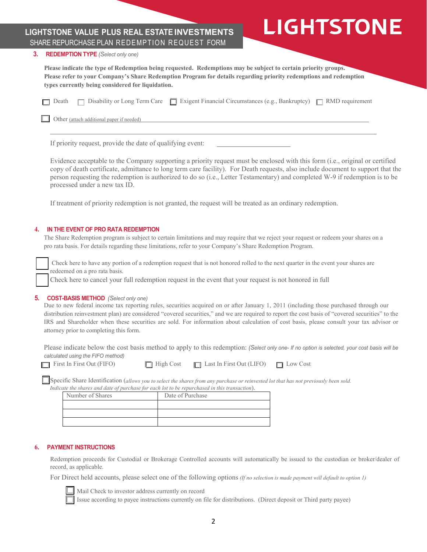## **LIGHTSTONE VALUE PLUS REAL ESTATE INVESTMENTS** SHARE REPURCHASE PLAN REDEMPTION REQUEST FORM

# **LIGHTSTONE**

#### **3. REDEMPTION TYPE** *(Select only one)*

**Please indicate the type of Redemption being requested. Redemptions may be subject to certain priority groups. Please refer to your Company's Share Redemption Program for details regarding priority redemptions and redemption types currently being considered for liquidation.**

|  | □ Death □ Disability or Long Term Care □ Exigent Financial Circumstances (e.g., Bankruptcy) □ RMD requirement |  |
|--|---------------------------------------------------------------------------------------------------------------|--|
|  |                                                                                                               |  |

Other (attach additional paper if needed)

If priority request, provide the date of qualifying event:

Evidence acceptable to the Company supporting a priority request must be enclosed with this form (i.e., original or certified copy of death certificate, admittance to long term care facility). For Death requests, also include document to support that the person requesting the redemption is authorized to do so (i.e., Letter Testamentary) and completed W-9 if redemption is to be processed under a new tax ID.

If treatment of priority redemption is not granted, the request will be treated as an ordinary redemption.

#### **4. IN THE EVENT OF PRO RATA REDEMPTION**

The Share Redemption program is subject to certain limitations and may require that we reject your request or redeem your shares on a pro rata basis. For details regarding these limitations, refer to your Company's Share Redemption Program.

Check here to have any portion of a redemption request that is not honored rolled to the next quarter in the event your shares are redeemed on a pro rata basis.

Check here to cancel your full redemption request in the event that your request is not honored in full

#### **5. COST-BASIS METHOD** *(Select only one)*

Due to new federal income tax reporting rules, securities acquired on or after January 1, 2011 (including those purchased through our distribution reinvestment plan) are considered "covered securities," and we are required to report the cost basis of "covered securities" to the IRS and Shareholder when these securities are sold. For information about calculation of cost basis, please consult your tax advisor or attorney prior to completing this form.

Please indicate below the cost basis method to apply to this redemption: *(Select only one- If no option is selected, your cost basis will be calculated using the FIFO method)* 

| $\Box$ First In First Out (FII |  |  |
|--------------------------------|--|--|

| IFO) | $\Box$ High Cost | $\Box$ Last In First Out (LIFO) | $\Box$ Low Cost |
|------|------------------|---------------------------------|-----------------|

Specific Share Identification (*allows you to select the shares from any purchase or reinvested lot that has not previously been sold. Indicate the shares and date of purchase for each lot to be repurchased in this transaction*).

| ale ine shares and date of purchase for each tot to be repurchased in this transaction). |                  |  |
|------------------------------------------------------------------------------------------|------------------|--|
| Number of Shares                                                                         | Date of Purchase |  |
|                                                                                          |                  |  |
|                                                                                          |                  |  |
|                                                                                          |                  |  |

#### **6. PAYMENT INSTRUCTIONS**

Redemption proceeds for Custodial or Brokerage Controlled accounts will automatically be issued to the custodian or broker/dealer of record, as applicable.

For Direct held accounts, please select one of the following options *(If no selection is made payment will default to option 1)*



Mail Check to investor address currently on record

Issue according to payee instructions currently on file for distributions. (Direct deposit or Third party payee)